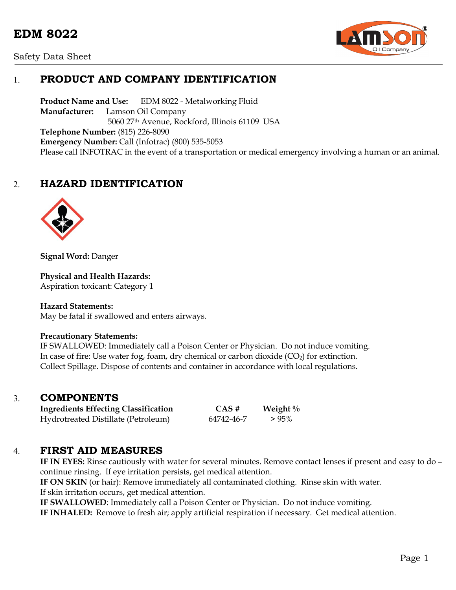



## 1. **PRODUCT AND COMPANY IDENTIFICATION**

Product Name and Use: EDM 8022 - Metalworking Fluid **Manufacturer:** Lamson Oil Company 5060 27th Avenue, Rockford, Illinois 61109 USA **Telephone Number:** (815) 226-8090 **Emergency Number:** Call (Infotrac) (800) 535-5053 Please call INFOTRAC in the event of a transportation or medical emergency involving a human or an animal.

## 2. **HAZARD IDENTIFICATION**



**Signal Word:** Danger

**Physical and Health Hazards:**

Aspiration toxicant: Category 1

#### **Hazard Statements:**

May be fatal if swallowed and enters airways.

#### **Precautionary Statements:**

IF SWALLOWED: Immediately call a Poison Center or Physician. Do not induce vomiting. In case of fire: Use water fog, foam, dry chemical or carbon dioxide  $(CO_2)$  for extinction. Collect Spillage. Dispose of contents and container in accordance with local regulations.

### 3. **COMPONENTS**

**Ingredients Effecting Classification CAS # Weight %** Hydrotreated Distillate (Petroleum) 64742-46-7 > 95%

### 4. **FIRST AID MEASURES**

**IF IN EYES:** Rinse cautiously with water for several minutes. Remove contact lenses if present and easy to do – continue rinsing. If eye irritation persists, get medical attention.

**IF ON SKIN** (or hair): Remove immediately all contaminated clothing. Rinse skin with water. If skin irritation occurs, get medical attention.

**IF SWALLOWED**: Immediately call a Poison Center or Physician. Do not induce vomiting.

**IF INHALED:** Remove to fresh air; apply artificial respiration if necessary. Get medical attention.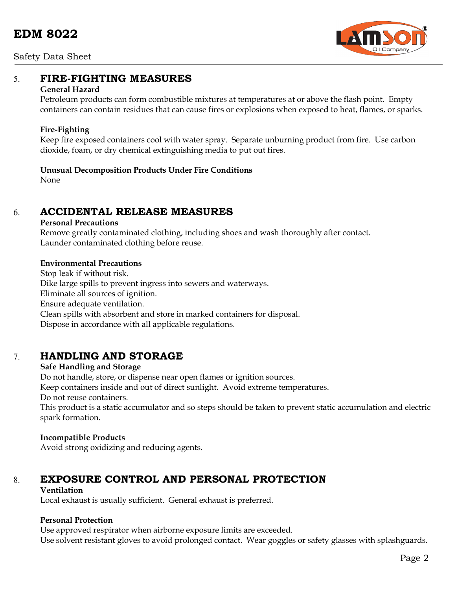

## 5. **FIRE-FIGHTING MEASURES**

#### **General Hazard**

Petroleum products can form combustible mixtures at temperatures at or above the flash point. Empty containers can contain residues that can cause fires or explosions when exposed to heat, flames, or sparks.

#### **Fire-Fighting**

Keep fire exposed containers cool with water spray. Separate unburning product from fire. Use carbon dioxide, foam, or dry chemical extinguishing media to put out fires.

### **Unusual Decomposition Products Under Fire Conditions**

None

## 6. **ACCIDENTAL RELEASE MEASURES**

#### **Personal Precautions**

Remove greatly contaminated clothing, including shoes and wash thoroughly after contact. Launder contaminated clothing before reuse.

#### **Environmental Precautions**

Stop leak if without risk. Dike large spills to prevent ingress into sewers and waterways. Eliminate all sources of ignition. Ensure adequate ventilation. Clean spills with absorbent and store in marked containers for disposal. Dispose in accordance with all applicable regulations.

## 7. **HANDLING AND STORAGE**

### **Safe Handling and Storage**

Do not handle, store, or dispense near open flames or ignition sources.

Keep containers inside and out of direct sunlight. Avoid extreme temperatures.

Do not reuse containers.

This product is a static accumulator and so steps should be taken to prevent static accumulation and electric spark formation.

### **Incompatible Products**

Avoid strong oxidizing and reducing agents.

# 8. **EXPOSURE CONTROL AND PERSONAL PROTECTION**

#### **Ventilation**

Local exhaust is usually sufficient. General exhaust is preferred.

### **Personal Protection**

Use approved respirator when airborne exposure limits are exceeded. Use solvent resistant gloves to avoid prolonged contact. Wear goggles or safety glasses with splashguards.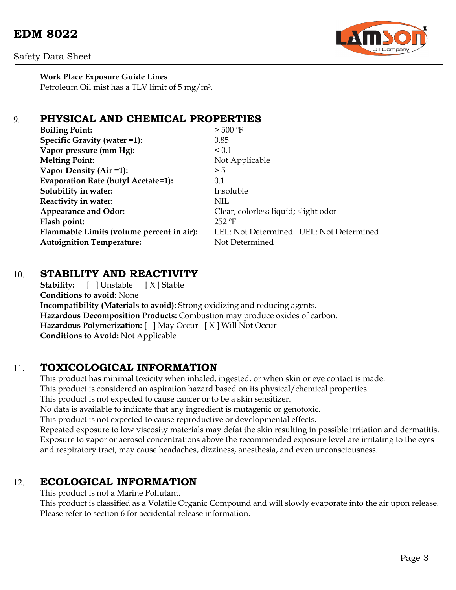# **EDM 8022**





**Work Place Exposure Guide Lines** Petroleum Oil mist has a TLV limit of 5 mg/m3.

## 9. **PHYSICAL AND CHEMICAL PROPERTIES**

| <b>Boiling Point:</b>                     | $>$ 500 °F                              |
|-------------------------------------------|-----------------------------------------|
| Specific Gravity (water =1):              | 0.85                                    |
| Vapor pressure (mm Hg):                   | $\leq 0.1$                              |
| <b>Melting Point:</b>                     | Not Applicable                          |
| Vapor Density (Air =1):                   | > 5                                     |
| Evaporation Rate (butyl Acetate=1):       | 0.1                                     |
| Solubility in water:                      | Insoluble                               |
| Reactivity in water:                      | NIL                                     |
| <b>Appearance and Odor:</b>               | Clear, colorless liquid; slight odor    |
| Flash point:                              | $252$ °F                                |
| Flammable Limits (volume percent in air): | LEL: Not Determined UEL: Not Determined |
| <b>Autoignition Temperature:</b>          | Not Determined                          |
|                                           |                                         |

## 10. **STABILITY AND REACTIVITY**

**Stability:** [ ] Unstable [ X ] Stable **Conditions to avoid:** None **Incompatibility (Materials to avoid):** Strong oxidizing and reducing agents. **Hazardous Decomposition Products:** Combustion may produce oxides of carbon. **Hazardous Polymerization:** [ ] May Occur [ X ] Will Not Occur **Conditions to Avoid:** Not Applicable

## 11. **TOXICOLOGICAL INFORMATION**

This product has minimal toxicity when inhaled, ingested, or when skin or eye contact is made. This product is considered an aspiration hazard based on its physical/chemical properties. This product is not expected to cause cancer or to be a skin sensitizer. No data is available to indicate that any ingredient is mutagenic or genotoxic. This product is not expected to cause reproductive or developmental effects. Repeated exposure to low viscosity materials may defat the skin resulting in possible irritation and dermatitis. Exposure to vapor or aerosol concentrations above the recommended exposure level are irritating to the eyes and respiratory tract, may cause headaches, dizziness, anesthesia, and even unconsciousness.

### 12. **ECOLOGICAL INFORMATION**

This product is not a Marine Pollutant.

This product is classified as a Volatile Organic Compound and will slowly evaporate into the air upon release. Please refer to section 6 for accidental release information.